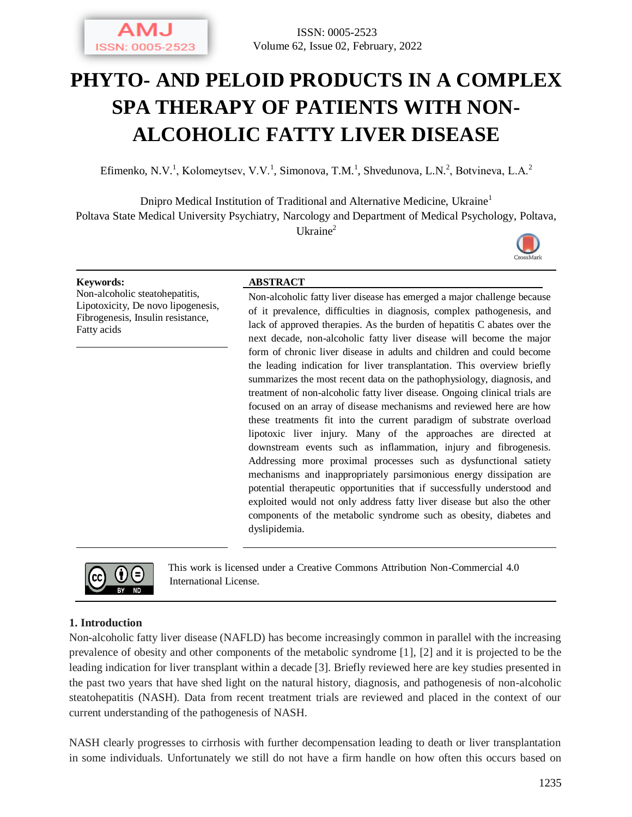

# **PHYTO- AND PELOID PRODUCTS IN A COMPLEX SPA THERAPY OF PATIENTS WITH NON-ALCOHOLIC FATTY LIVER DISEASE**

Efimenko, N.V.<sup>1</sup>, Kolomeytsev, V.V.<sup>1</sup>, Simonova, T.M.<sup>1</sup>, Shvedunova, L.N.<sup>2</sup>, Botvineva, L.A.<sup>2</sup>

Dnipro Medical Institution of Traditional and Alternative Medicine, Ukraine<sup>1</sup> Poltava State Medical University Psychiatry, Narcology and Department of Medical Psychology, Poltava, Ukraine<sup>2</sup>



Non-alcoholic steatohepatitis, Lipotoxicity, De novo lipogenesis, Fibrogenesis, Insulin resistance, Fatty acids

#### **Keywords: ABSTRACT**

Non-alcoholic fatty liver disease has emerged a major challenge because of it prevalence, difficulties in diagnosis, complex pathogenesis, and lack of approved therapies. As the burden of hepatitis C abates over the next decade, non-alcoholic fatty liver disease will become the major form of chronic liver disease in adults and children and could become the leading indication for liver transplantation. This overview briefly summarizes the most recent data on the pathophysiology, diagnosis, and treatment of non-alcoholic fatty liver disease. Ongoing clinical trials are focused on an array of disease mechanisms and reviewed here are how these treatments fit into the current paradigm of substrate overload lipotoxic liver injury. Many of the approaches are directed at downstream events such as inflammation, injury and fibrogenesis. Addressing more proximal processes such as dysfunctional satiety mechanisms and inappropriately parsimonious energy dissipation are potential therapeutic opportunities that if successfully understood and exploited would not only address fatty liver disease but also the other components of the metabolic syndrome such as obesity, diabetes and dyslipidemia.



This work is licensed under a Creative Commons Attribution Non-Commercial 4.0 International License.

#### **1. Introduction**

Non-alcoholic fatty liver disease (NAFLD) has become increasingly common in parallel with the increasing prevalence of obesity and other components of the metabolic syndrome [1], [2] and it is projected to be the leading indication for liver transplant within a decade [3]. Briefly reviewed here are key studies presented in the past two years that have shed light on the natural history, diagnosis, and pathogenesis of non-alcoholic steatohepatitis (NASH). Data from recent treatment trials are reviewed and placed in the context of our current understanding of the pathogenesis of NASH.

NASH clearly progresses to cirrhosis with further decompensation leading to death or liver transplantation in some individuals. Unfortunately we still do not have a firm handle on how often this occurs based on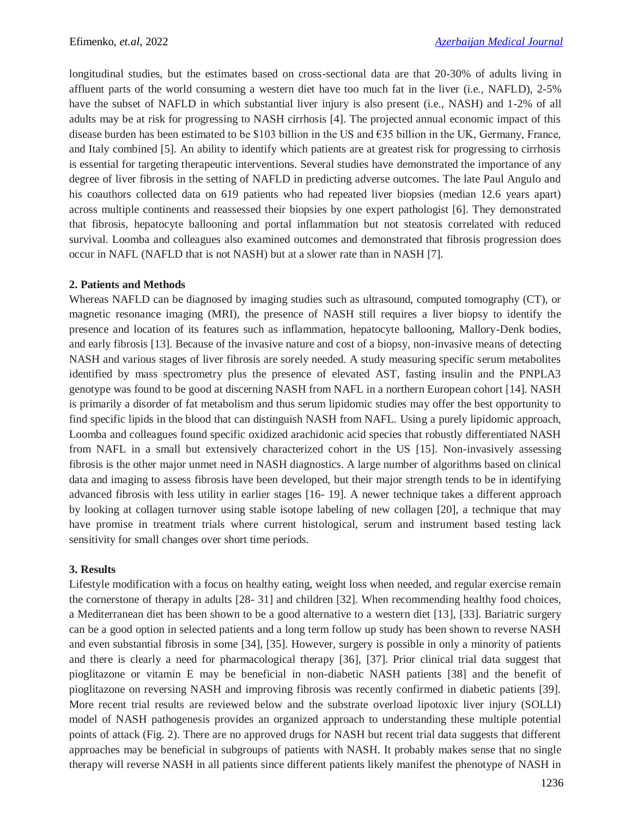longitudinal studies, but the estimates based on cross-sectional data are that 20-30% of adults living in affluent parts of the world consuming a western diet have too much fat in the liver (i.e., NAFLD), 2-5% have the subset of NAFLD in which substantial liver injury is also present (i.e., NASH) and 1-2% of all adults may be at risk for progressing to NASH cirrhosis [4]. The projected annual economic impact of this disease burden has been estimated to be \$103 billion in the US and  $\epsilon$ 35 billion in the UK, Germany, France, and Italy combined [5]. An ability to identify which patients are at greatest risk for progressing to cirrhosis is essential for targeting therapeutic interventions. Several studies have demonstrated the importance of any degree of liver fibrosis in the setting of NAFLD in predicting adverse outcomes. The late Paul Angulo and his coauthors collected data on 619 patients who had repeated liver biopsies (median 12.6 years apart) across multiple continents and reassessed their biopsies by one expert pathologist [6]. They demonstrated that fibrosis, hepatocyte ballooning and portal inflammation but not steatosis correlated with reduced survival. Loomba and colleagues also examined outcomes and demonstrated that fibrosis progression does occur in NAFL (NAFLD that is not NASH) but at a slower rate than in NASH [7].

## **2. Patients and Methods**

Whereas NAFLD can be diagnosed by imaging studies such as ultrasound, computed tomography (CT), or magnetic resonance imaging (MRI), the presence of NASH still requires a liver biopsy to identify the presence and location of its features such as inflammation, hepatocyte ballooning, Mallory-Denk bodies, and early fibrosis [13]. Because of the invasive nature and cost of a biopsy, non-invasive means of detecting NASH and various stages of liver fibrosis are sorely needed. A study measuring specific serum metabolites identified by mass spectrometry plus the presence of elevated AST, fasting insulin and the PNPLA3 genotype was found to be good at discerning NASH from NAFL in a northern European cohort [14]. NASH is primarily a disorder of fat metabolism and thus serum lipidomic studies may offer the best opportunity to find specific lipids in the blood that can distinguish NASH from NAFL. Using a purely lipidomic approach, Loomba and colleagues found specific oxidized arachidonic acid species that robustly differentiated NASH from NAFL in a small but extensively characterized cohort in the US [15]. Non-invasively assessing fibrosis is the other major unmet need in NASH diagnostics. A large number of algorithms based on clinical data and imaging to assess fibrosis have been developed, but their major strength tends to be in identifying advanced fibrosis with less utility in earlier stages [16- 19]. A newer technique takes a different approach by looking at collagen turnover using stable isotope labeling of new collagen [20], a technique that may have promise in treatment trials where current histological, serum and instrument based testing lack sensitivity for small changes over short time periods.

# **3. Results**

Lifestyle modification with a focus on healthy eating, weight loss when needed, and regular exercise remain the cornerstone of therapy in adults [28- 31] and children [32]. When recommending healthy food choices, a Mediterranean diet has been shown to be a good alternative to a western diet [13], [33]. Bariatric surgery can be a good option in selected patients and a long term follow up study has been shown to reverse NASH and even substantial fibrosis in some [34], [35]. However, surgery is possible in only a minority of patients and there is clearly a need for pharmacological therapy [36], [37]. Prior clinical trial data suggest that pioglitazone or vitamin E may be beneficial in non-diabetic NASH patients [38] and the benefit of pioglitazone on reversing NASH and improving fibrosis was recently confirmed in diabetic patients [39]. More recent trial results are reviewed below and the substrate overload lipotoxic liver injury (SOLLI) model of NASH pathogenesis provides an organized approach to understanding these multiple potential points of attack (Fig. 2). There are no approved drugs for NASH but recent trial data suggests that different approaches may be beneficial in subgroups of patients with NASH. It probably makes sense that no single therapy will reverse NASH in all patients since different patients likely manifest the phenotype of NASH in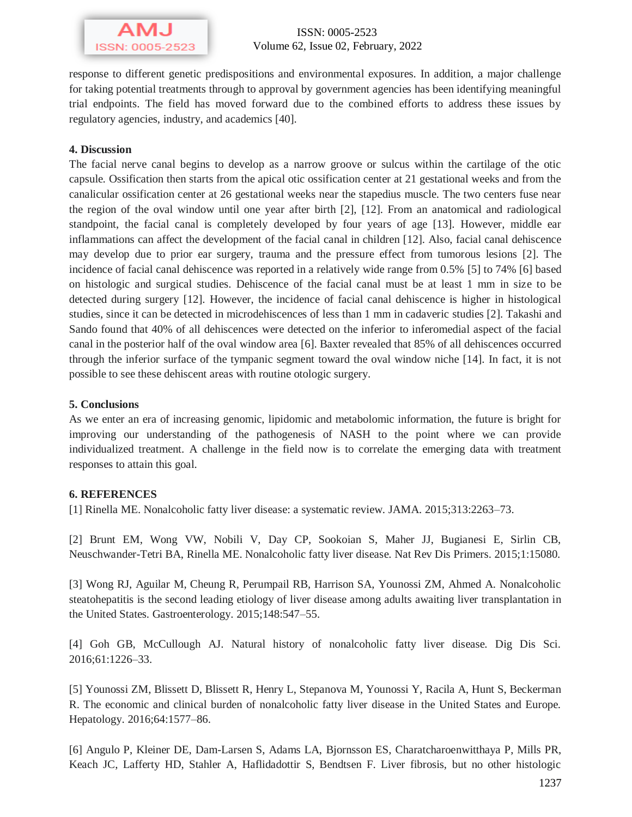

response to different genetic predispositions and environmental exposures. In addition, a major challenge for taking potential treatments through to approval by government agencies has been identifying meaningful trial endpoints. The field has moved forward due to the combined efforts to address these issues by regulatory agencies, industry, and academics [40].

### **4. Discussion**

The facial nerve canal begins to develop as a narrow groove or sulcus within the cartilage of the otic capsule. Ossification then starts from the apical otic ossification center at 21 gestational weeks and from the canalicular ossification center at 26 gestational weeks near the stapedius muscle. The two centers fuse near the region of the oval window until one year after birth [2], [12]. From an anatomical and radiological standpoint, the facial canal is completely developed by four years of age [13]. However, middle ear inflammations can affect the development of the facial canal in children [12]. Also, facial canal dehiscence may develop due to prior ear surgery, trauma and the pressure effect from tumorous lesions [2]. The incidence of facial canal dehiscence was reported in a relatively wide range from 0.5% [5] to 74% [6] based on histologic and surgical studies. Dehiscence of the facial canal must be at least 1 mm in size to be detected during surgery [12]. However, the incidence of facial canal dehiscence is higher in histological studies, since it can be detected in microdehiscences of less than 1 mm in cadaveric studies [2]. Takashi and Sando found that 40% of all dehiscences were detected on the inferior to inferomedial aspect of the facial canal in the posterior half of the oval window area [6]. Baxter revealed that 85% of all dehiscences occurred through the inferior surface of the tympanic segment toward the oval window niche [14]. In fact, it is not possible to see these dehiscent areas with routine otologic surgery.

#### **5. Conclusions**

As we enter an era of increasing genomic, lipidomic and metabolomic information, the future is bright for improving our understanding of the pathogenesis of NASH to the point where we can provide individualized treatment. A challenge in the field now is to correlate the emerging data with treatment responses to attain this goal.

#### **6. REFERENCES**

[1] Rinella ME. Nonalcoholic fatty liver disease: a systematic review. JAMA. 2015;313:2263–73.

[2] Brunt EM, Wong VW, Nobili V, Day CP, Sookoian S, Maher JJ, Bugianesi E, Sirlin CB, Neuschwander-Tetri BA, Rinella ME. Nonalcoholic fatty liver disease. Nat Rev Dis Primers. 2015;1:15080.

[3] Wong RJ, Aguilar M, Cheung R, Perumpail RB, Harrison SA, Younossi ZM, Ahmed A. Nonalcoholic steatohepatitis is the second leading etiology of liver disease among adults awaiting liver transplantation in the United States. Gastroenterology. 2015;148:547–55.

[4] Goh GB, McCullough AJ. Natural history of nonalcoholic fatty liver disease. Dig Dis Sci. 2016;61:1226–33.

[5] Younossi ZM, Blissett D, Blissett R, Henry L, Stepanova M, Younossi Y, Racila A, Hunt S, Beckerman R. The economic and clinical burden of nonalcoholic fatty liver disease in the United States and Europe. Hepatology. 2016;64:1577–86.

[6] Angulo P, Kleiner DE, Dam-Larsen S, Adams LA, Bjornsson ES, Charatcharoenwitthaya P, Mills PR, Keach JC, Lafferty HD, Stahler A, Haflidadottir S, Bendtsen F. Liver fibrosis, but no other histologic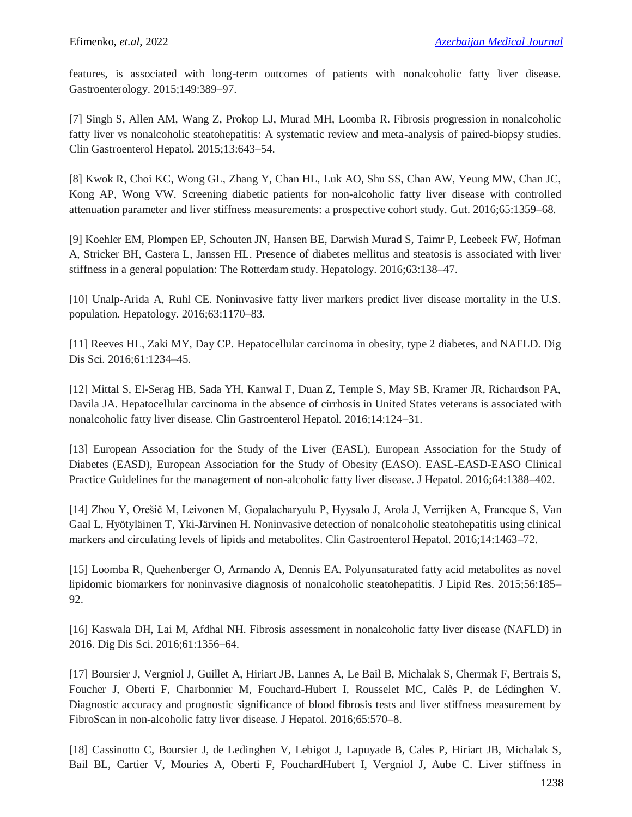features, is associated with long-term outcomes of patients with nonalcoholic fatty liver disease. Gastroenterology. 2015;149:389–97.

[7] Singh S, Allen AM, Wang Z, Prokop LJ, Murad MH, Loomba R. Fibrosis progression in nonalcoholic fatty liver vs nonalcoholic steatohepatitis: A systematic review and meta-analysis of paired-biopsy studies. Clin Gastroenterol Hepatol. 2015;13:643–54.

[8] Kwok R, Choi KC, Wong GL, Zhang Y, Chan HL, Luk AO, Shu SS, Chan AW, Yeung MW, Chan JC, Kong AP, Wong VW. Screening diabetic patients for non-alcoholic fatty liver disease with controlled attenuation parameter and liver stiffness measurements: a prospective cohort study. Gut. 2016;65:1359–68.

[9] Koehler EM, Plompen EP, Schouten JN, Hansen BE, Darwish Murad S, Taimr P, Leebeek FW, Hofman A, Stricker BH, Castera L, Janssen HL. Presence of diabetes mellitus and steatosis is associated with liver stiffness in a general population: The Rotterdam study. Hepatology. 2016;63:138–47.

[10] Unalp-Arida A, Ruhl CE. Noninvasive fatty liver markers predict liver disease mortality in the U.S. population. Hepatology. 2016;63:1170–83.

[11] Reeves HL, Zaki MY, Day CP. Hepatocellular carcinoma in obesity, type 2 diabetes, and NAFLD. Dig Dis Sci. 2016;61:1234–45.

[12] Mittal S, El-Serag HB, Sada YH, Kanwal F, Duan Z, Temple S, May SB, Kramer JR, Richardson PA, Davila JA. Hepatocellular carcinoma in the absence of cirrhosis in United States veterans is associated with nonalcoholic fatty liver disease. Clin Gastroenterol Hepatol. 2016;14:124–31.

[13] European Association for the Study of the Liver (EASL), European Association for the Study of Diabetes (EASD), European Association for the Study of Obesity (EASO). EASL-EASD-EASO Clinical Practice Guidelines for the management of non-alcoholic fatty liver disease. J Hepatol. 2016;64:1388–402.

[14] Zhou Y, Orešič M, Leivonen M, Gopalacharyulu P, Hyysalo J, Arola J, Verrijken A, Francque S, Van Gaal L, Hyötyläinen T, Yki-Järvinen H. Noninvasive detection of nonalcoholic steatohepatitis using clinical markers and circulating levels of lipids and metabolites. Clin Gastroenterol Hepatol. 2016;14:1463–72.

[15] Loomba R, Quehenberger O, Armando A, Dennis EA. Polyunsaturated fatty acid metabolites as novel lipidomic biomarkers for noninvasive diagnosis of nonalcoholic steatohepatitis. J Lipid Res. 2015;56:185– 92.

[16] Kaswala DH, Lai M, Afdhal NH. Fibrosis assessment in nonalcoholic fatty liver disease (NAFLD) in 2016. Dig Dis Sci. 2016;61:1356–64.

[17] Boursier J, Vergniol J, Guillet A, Hiriart JB, Lannes A, Le Bail B, Michalak S, Chermak F, Bertrais S, Foucher J, Oberti F, Charbonnier M, Fouchard-Hubert I, Rousselet MC, Calès P, de Lédinghen V. Diagnostic accuracy and prognostic significance of blood fibrosis tests and liver stiffness measurement by FibroScan in non-alcoholic fatty liver disease. J Hepatol. 2016;65:570–8.

[18] Cassinotto C, Boursier J, de Ledinghen V, Lebigot J, Lapuyade B, Cales P, Hiriart JB, Michalak S, Bail BL, Cartier V, Mouries A, Oberti F, FouchardHubert I, Vergniol J, Aube C. Liver stiffness in